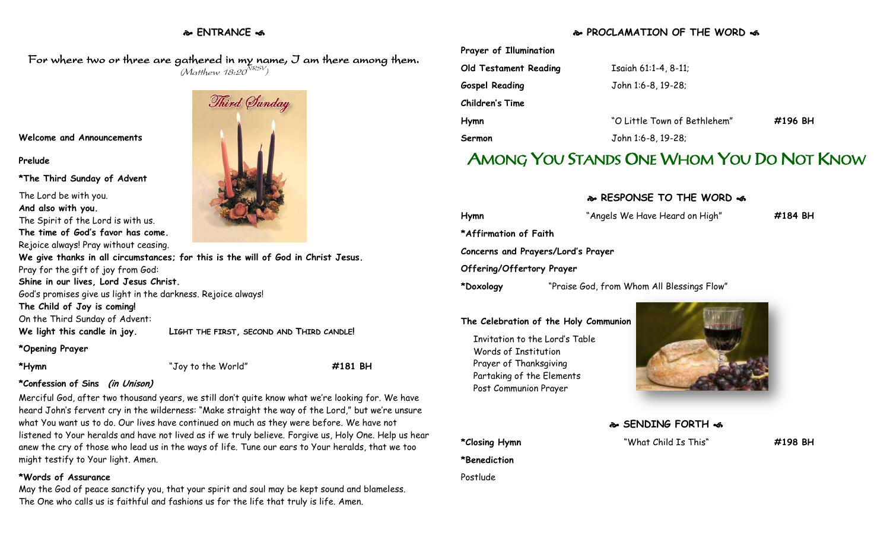# **ENTRANCE**

## **PROCLAMATION OF THE WORD**

For where two or three are gathered in my name, I am there among them.  $(M$ atthew 18:20 $^{NRSV})$ 

**Welcome and Announcements**

### **Prelude**

**\*The Third Sunday of Advent**

The Lord be with you.

**And also with you.**

The Spirit of the Lord is with us.

**The time of God's favor has come.** Rejoice always! Pray without ceasing.

**We give thanks in all circumstances; for this is the will of God in Christ Jesus.** Pray for the gift of joy from God:

**Shine in our lives, Lord Jesus Christ.**

God's promises give us light in the darkness. Rejoice always!

**The Child of Joy is coming!**

On the Third Sunday of Advent:

**We light this candle in joy. LIGHT THE FIRST, SECOND AND THIRD CANDLE!**

### **\*Opening Prayer**

**\*Hymn** "Joy to the World" **#181 BH**

### **\*Confession of Sins (in Unison)**

Merciful God, after two thousand years, we still don't quite know what we're looking for. We have heard John's fervent cry in the wilderness: "Make straight the way of the Lord," but we're unsure what You want us to do. Our lives have continued on much as they were before. We have not listened to Your heralds and have not lived as if we truly believe. Forgive us, Holy One. Help us hear anew the cry of those who lead us in the ways of life. Tune our ears to Your heralds, that we too might testify to Your light. Amen.

### **\*Words of Assurance**

May the God of peace sanctify you, that your spirit and soul may be kept sound and blameless. The One who calls us is faithful and fashions us for the life that truly is life. Amen.



| Isaiah 61:1-4, 8-11;         |         |
|------------------------------|---------|
| John 1:6-8, 19-28;           |         |
|                              |         |
| "O Little Town of Bethlehem" | #196 BH |
| John 1:6-8, 19-28;           |         |
|                              |         |

# AMONG YOU STANDS ONE WHOM YOU DO NOT KNOW

### **RESPONSE TO THE WORD**

| Hymn                      | "Angels We Have Heard on High"             | #184 BH |
|---------------------------|--------------------------------------------|---------|
| *Affirmation of Faith     |                                            |         |
|                           | Concerns and Prayers/Lord's Prayer         |         |
| Offering/Offertory Prayer |                                            |         |
| *Doxology                 | "Praise God, from Whom All Blessings Flow" |         |

### **The Celebration of the Holy Communion**

Invitation to the Lord's Table Words of Institution Prayer of Thanksgiving Partaking of the Elements Post Communion Prayer

**\*Benediction**

Postlude



 **SENDING FORTH \*Closing Hymn** "What Child Is This" **#198 BH**